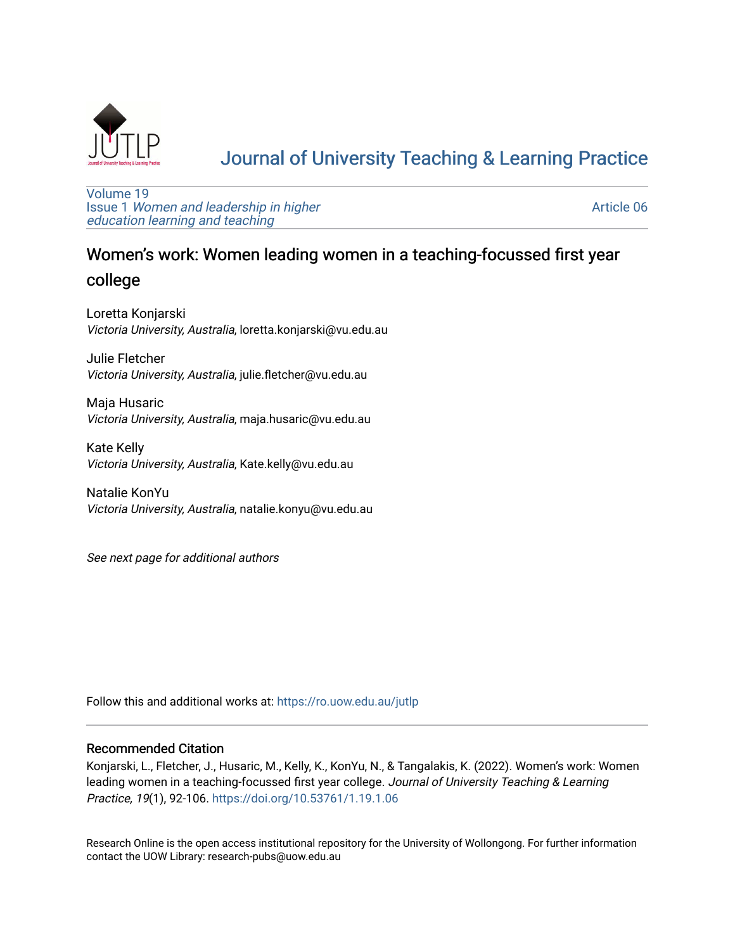

# [Journal of University Teaching & Learning Practice](https://ro.uow.edu.au/jutlp)

[Volume 19](https://ro.uow.edu.au/jutlp/vol19) Issue 1 [Women and leadership in higher](https://ro.uow.edu.au/jutlp/vol19/iss1) [education learning and teaching](https://ro.uow.edu.au/jutlp/vol19/iss1)

[Article 06](https://ro.uow.edu.au/jutlp/vol19/iss1/06) 

# Women's work: Women leading women in a teaching-focussed first year

# college

Loretta Konjarski Victoria University, Australia, loretta.konjarski@vu.edu.au

Julie Fletcher Victoria University, Australia, julie.fletcher@vu.edu.au

Maja Husaric Victoria University, Australia, maja.husaric@vu.edu.au

Kate Kelly Victoria University, Australia, Kate.kelly@vu.edu.au

Natalie KonYu Victoria University, Australia, natalie.konyu@vu.edu.au

See next page for additional authors

Follow this and additional works at: [https://ro.uow.edu.au/jutlp](https://ro.uow.edu.au/jutlp?utm_source=ro.uow.edu.au%2Fjutlp%2Fvol19%2Fiss1%2F06&utm_medium=PDF&utm_campaign=PDFCoverPages) 

## Recommended Citation

Konjarski, L., Fletcher, J., Husaric, M., Kelly, K., KonYu, N., & Tangalakis, K. (2022). Women's work: Women leading women in a teaching-focussed first year college. Journal of University Teaching & Learning Practice, 19(1), 92-106. <https://doi.org/10.53761/1.19.1.06>

Research Online is the open access institutional repository for the University of Wollongong. For further information contact the UOW Library: research-pubs@uow.edu.au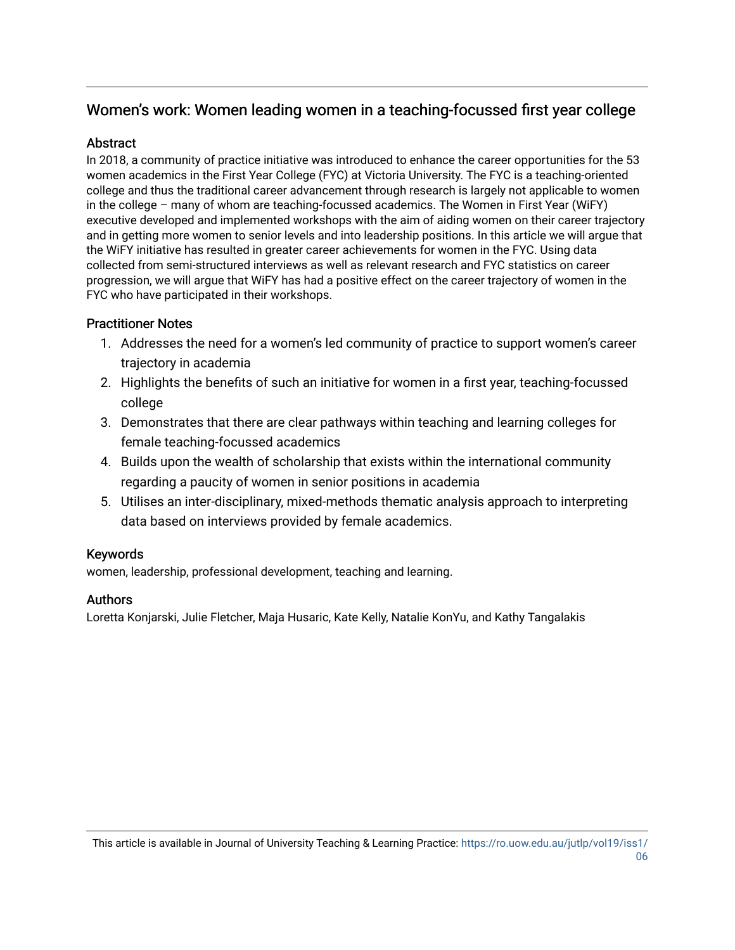# Women's work: Women leading women in a teaching-focussed first year college

## **Abstract**

In 2018, a community of practice initiative was introduced to enhance the career opportunities for the 53 women academics in the First Year College (FYC) at Victoria University. The FYC is a teaching-oriented college and thus the traditional career advancement through research is largely not applicable to women in the college – many of whom are teaching-focussed academics. The Women in First Year (WiFY) executive developed and implemented workshops with the aim of aiding women on their career trajectory and in getting more women to senior levels and into leadership positions. In this article we will argue that the WiFY initiative has resulted in greater career achievements for women in the FYC. Using data collected from semi-structured interviews as well as relevant research and FYC statistics on career progression, we will argue that WiFY has had a positive effect on the career trajectory of women in the FYC who have participated in their workshops.

# Practitioner Notes

- 1. Addresses the need for a women's led community of practice to support women's career trajectory in academia
- 2. Highlights the benefits of such an initiative for women in a first year, teaching-focussed college
- 3. Demonstrates that there are clear pathways within teaching and learning colleges for female teaching-focussed academics
- 4. Builds upon the wealth of scholarship that exists within the international community regarding a paucity of women in senior positions in academia
- 5. Utilises an inter-disciplinary, mixed-methods thematic analysis approach to interpreting data based on interviews provided by female academics.

# Keywords

women, leadership, professional development, teaching and learning.

# Authors

Loretta Konjarski, Julie Fletcher, Maja Husaric, Kate Kelly, Natalie KonYu, and Kathy Tangalakis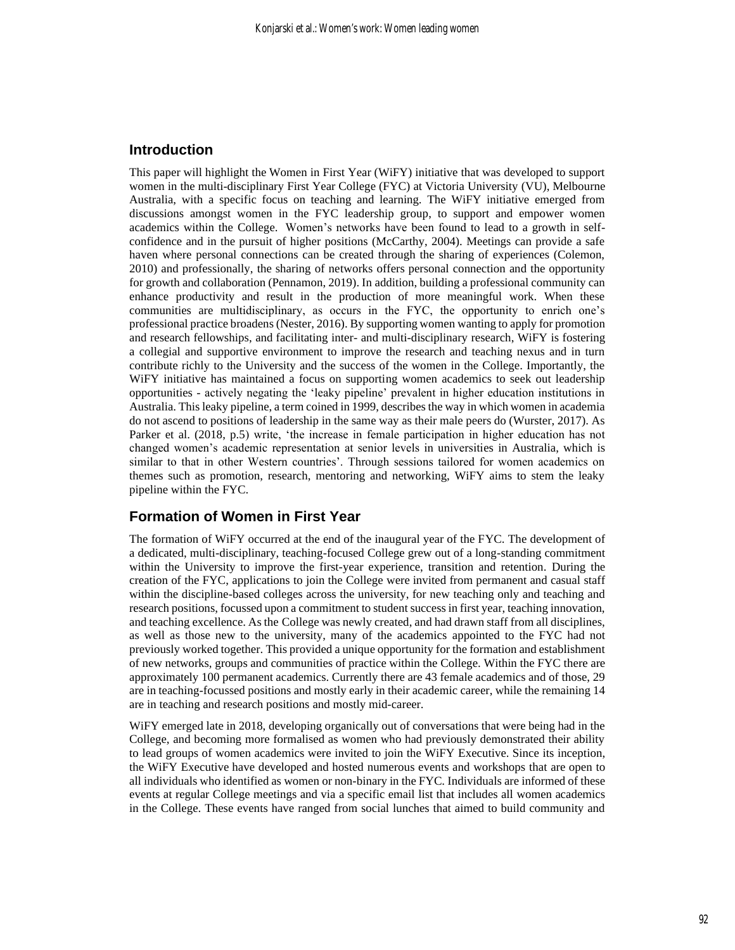#### **Introduction**

This paper will highlight the Women in First Year (WiFY) initiative that was developed to support women in the multi-disciplinary First Year College (FYC) at Victoria University (VU), Melbourne Australia, with a specific focus on teaching and learning. The WiFY initiative emerged from discussions amongst women in the FYC leadership group, to support and empower women academics within the College. Women's networks have been found to lead to a growth in selfconfidence and in the pursuit of higher positions (McCarthy, 2004). Meetings can provide a safe haven where personal connections can be created through the sharing of experiences (Colemon, 2010) and professionally, the sharing of networks offers personal connection and the opportunity for growth and collaboration (Pennamon, 2019). In addition, building a professional community can enhance productivity and result in the production of more meaningful work. When these communities are multidisciplinary, as occurs in the FYC, the opportunity to enrich one's professional practice broadens(Nester, 2016). By supporting women wanting to apply for promotion and research fellowships, and facilitating inter- and multi-disciplinary research, WiFY is fostering a collegial and supportive environment to improve the research and teaching nexus and in turn contribute richly to the University and the success of the women in the College. Importantly, the WiFY initiative has maintained a focus on supporting women academics to seek out leadership opportunities - actively negating the 'leaky pipeline' prevalent in higher education institutions in Australia. This leaky pipeline, a term coined in 1999, describes the way in which women in academia do not ascend to positions of leadership in the same way as their male peers do (Wurster, 2017). As Parker et al. (2018, p.5) write, 'the increase in female participation in higher education has not changed women's academic representation at senior levels in universities in Australia, which is similar to that in other Western countries'. Through sessions tailored for women academics on themes such as promotion, research, mentoring and networking, WiFY aims to stem the leaky pipeline within the FYC.

#### **Formation of Women in First Year**

The formation of WiFY occurred at the end of the inaugural year of the FYC. The development of a dedicated, multi-disciplinary, teaching-focused College grew out of a long-standing commitment within the University to improve the first-year experience, transition and retention. During the creation of the FYC, applications to join the College were invited from permanent and casual staff within the discipline-based colleges across the university, for new teaching only and teaching and research positions, focussed upon a commitment to student success in first year, teaching innovation, and teaching excellence. As the College was newly created, and had drawn staff from all disciplines, as well as those new to the university, many of the academics appointed to the FYC had not previously worked together. This provided a unique opportunity for the formation and establishment of new networks, groups and communities of practice within the College. Within the FYC there are approximately 100 permanent academics. Currently there are 43 female academics and of those, 29 are in teaching-focussed positions and mostly early in their academic career, while the remaining 14 are in teaching and research positions and mostly mid-career.

WiFY emerged late in 2018, developing organically out of conversations that were being had in the College, and becoming more formalised as women who had previously demonstrated their ability to lead groups of women academics were invited to join the WiFY Executive. Since its inception, the WiFY Executive have developed and hosted numerous events and workshops that are open to all individuals who identified as women or non-binary in the FYC. Individuals are informed of these events at regular College meetings and via a specific email list that includes all women academics in the College. These events have ranged from social lunches that aimed to build community and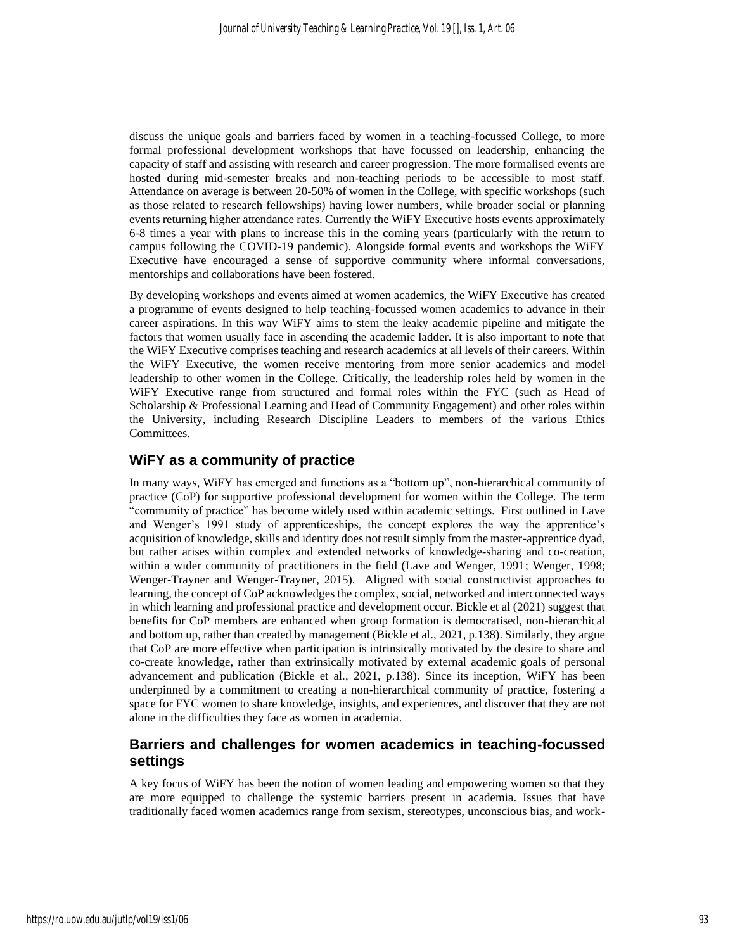discuss the unique goals and barriers faced by women in a teaching-focussed College, to more formal professional development workshops that have focussed on leadership, enhancing the capacity of staff and assisting with research and career progression. The more formalised events are hosted during mid-semester breaks and non-teaching periods to be accessible to most staff. Attendance on average is between 20-50% of women in the College, with specific workshops (such as those related to research fellowships) having lower numbers, while broader social or planning events returning higher attendance rates. Currently the WiFY Executive hosts events approximately 6-8 times a year with plans to increase this in the coming years (particularly with the return to campus following the COVID-19 pandemic). Alongside formal events and workshops the WiFY Executive have encouraged a sense of supportive community where informal conversations, mentorships and collaborations have been fostered.

By developing workshops and events aimed at women academics, the WiFY Executive has created a programme of events designed to help teaching-focussed women academics to advance in their career aspirations. In this way WiFY aims to stem the leaky academic pipeline and mitigate the factors that women usually face in ascending the academic ladder. It is also important to note that the WiFY Executive comprises teaching and research academics at all levels of their careers. Within the WiFY Executive, the women receive mentoring from more senior academics and model leadership to other women in the College. Critically, the leadership roles held by women in the WiFY Executive range from structured and formal roles within the FYC (such as Head of Scholarship & Professional Learning and Head of Community Engagement) and other roles within the University, including Research Discipline Leaders to members of the various Ethics Committees.

## **WiFY as a community of practice**

In many ways, WiFY has emerged and functions as a "bottom up", non-hierarchical community of practice (CoP) for supportive professional development for women within the College. The term "community of practice" has become widely used within academic settings. First outlined in Lave and Wenger's 1991 study of apprenticeships, the concept explores the way the apprentice's acquisition of knowledge, skills and identity does not result simply from the master-apprentice dyad, but rather arises within complex and extended networks of knowledge-sharing and co-creation, within a wider community of practitioners in the field (Lave and Wenger, 1991; Wenger, 1998; Wenger-Trayner and Wenger-Trayner, 2015). Aligned with social constructivist approaches to learning, the concept of CoP acknowledges the complex, social, networked and interconnected ways in which learning and professional practice and development occur. Bickle et al (2021) suggest that benefits for CoP members are enhanced when group formation is democratised, non-hierarchical and bottom up, rather than created by management (Bickle et al., 2021, p.138). Similarly, they argue that CoP are more effective when participation is intrinsically motivated by the desire to share and co-create knowledge, rather than extrinsically motivated by external academic goals of personal advancement and publication (Bickle et al., 2021, p.138). Since its inception, WiFY has been underpinned by a commitment to creating a non-hierarchical community of practice, fostering a space for FYC women to share knowledge, insights, and experiences, and discover that they are not alone in the difficulties they face as women in academia.

## **Barriers and challenges for women academics in teaching-focussed settings**

A key focus of WiFY has been the notion of women leading and empowering women so that they are more equipped to challenge the systemic barriers present in academia. Issues that have traditionally faced women academics range from sexism, stereotypes, unconscious bias, and work-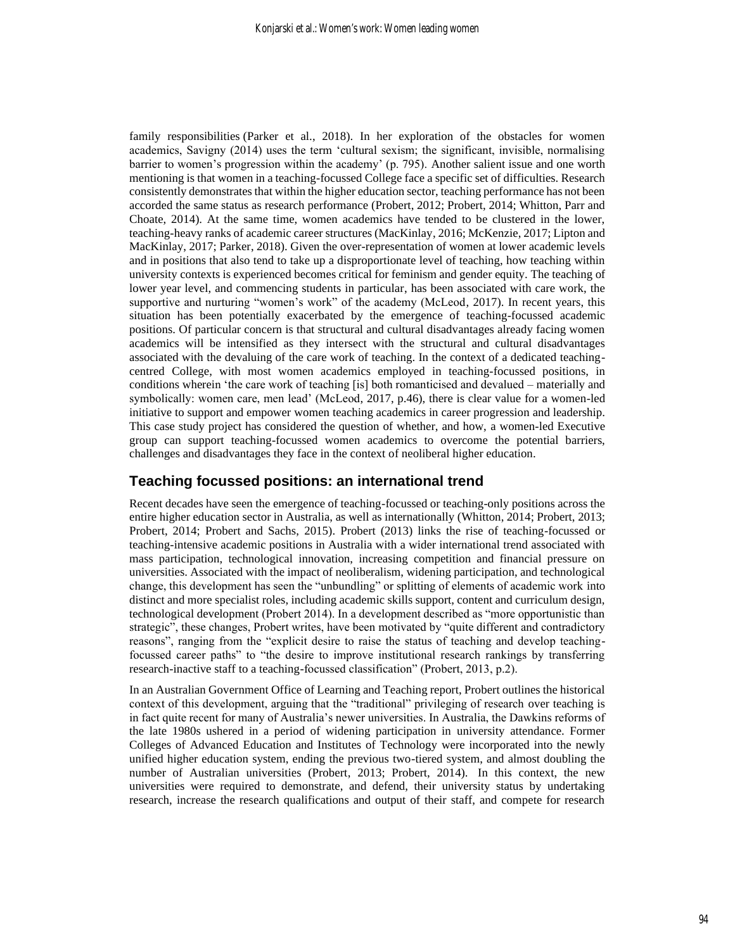family responsibilities (Parker et al., 2018). In her exploration of the obstacles for women academics, Savigny (2014) uses the term 'cultural sexism; the significant, invisible, normalising barrier to women's progression within the academy' (p. 795). Another salient issue and one worth mentioning is that women in a teaching-focussed College face a specific set of difficulties. Research consistently demonstrates that within the higher education sector, teaching performance has not been accorded the same status as research performance (Probert, 2012; Probert, 2014; Whitton, Parr and Choate, 2014). At the same time, women academics have tended to be clustered in the lower, teaching-heavy ranks of academic career structures (MacKinlay, 2016; McKenzie, 2017; Lipton and MacKinlay, 2017; Parker, 2018). Given the over-representation of women at lower academic levels and in positions that also tend to take up a disproportionate level of teaching, how teaching within university contexts is experienced becomes critical for feminism and gender equity. The teaching of lower year level, and commencing students in particular, has been associated with care work, the supportive and nurturing "women's work" of the academy (McLeod, 2017). In recent years, this situation has been potentially exacerbated by the emergence of teaching-focussed academic positions. Of particular concern is that structural and cultural disadvantages already facing women academics will be intensified as they intersect with the structural and cultural disadvantages associated with the devaluing of the care work of teaching. In the context of a dedicated teachingcentred College, with most women academics employed in teaching-focussed positions, in conditions wherein 'the care work of teaching [is] both romanticised and devalued – materially and symbolically: women care, men lead' (McLeod, 2017, p.46), there is clear value for a women-led initiative to support and empower women teaching academics in career progression and leadership. This case study project has considered the question of whether, and how, a women-led Executive group can support teaching-focussed women academics to overcome the potential barriers, challenges and disadvantages they face in the context of neoliberal higher education.

#### **Teaching focussed positions: an international trend**

Recent decades have seen the emergence of teaching-focussed or teaching-only positions across the entire higher education sector in Australia, as well as internationally (Whitton, 2014; Probert, 2013; Probert, 2014; Probert and Sachs, 2015). Probert (2013) links the rise of teaching-focussed or teaching-intensive academic positions in Australia with a wider international trend associated with mass participation, technological innovation, increasing competition and financial pressure on universities. Associated with the impact of neoliberalism, widening participation, and technological change, this development has seen the "unbundling" or splitting of elements of academic work into distinct and more specialist roles, including academic skills support, content and curriculum design, technological development (Probert 2014). In a development described as "more opportunistic than strategic", these changes, Probert writes, have been motivated by "quite different and contradictory reasons", ranging from the "explicit desire to raise the status of teaching and develop teachingfocussed career paths" to "the desire to improve institutional research rankings by transferring research-inactive staff to a teaching-focussed classification" (Probert, 2013, p.2).

In an Australian Government Office of Learning and Teaching report, Probert outlines the historical context of this development, arguing that the "traditional" privileging of research over teaching is in fact quite recent for many of Australia's newer universities. In Australia, the Dawkins reforms of the late 1980s ushered in a period of widening participation in university attendance. Former Colleges of Advanced Education and Institutes of Technology were incorporated into the newly unified higher education system, ending the previous two-tiered system, and almost doubling the number of Australian universities (Probert, 2013; Probert, 2014). In this context, the new universities were required to demonstrate, and defend, their university status by undertaking research, increase the research qualifications and output of their staff, and compete for research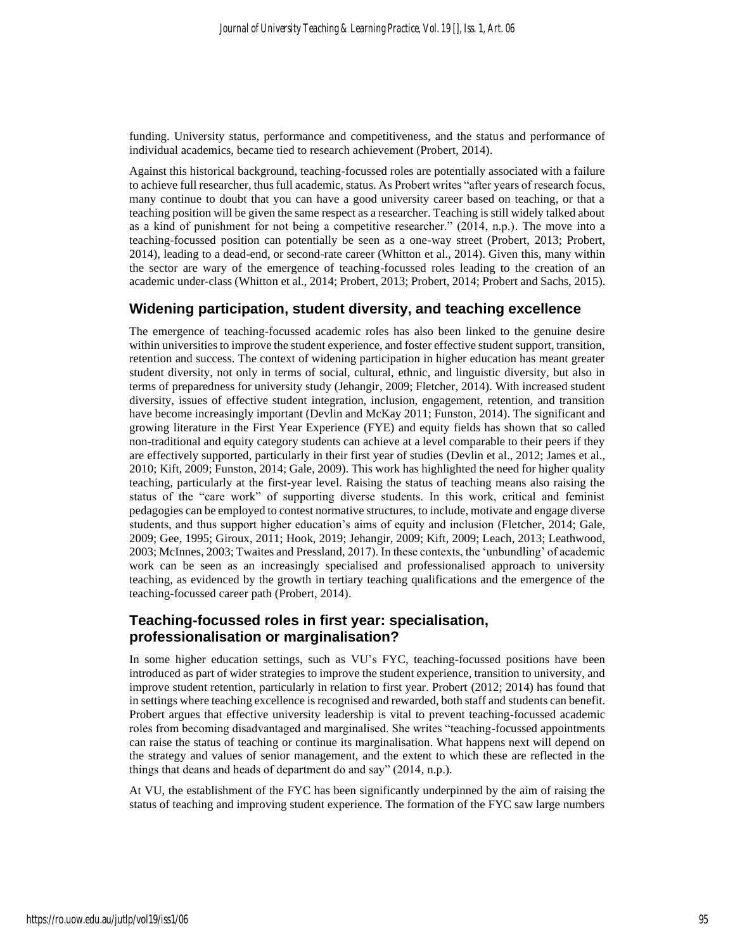funding. University status, performance and competitiveness, and the status and performance of individual academics, became tied to research achievement (Probert, 2014).

Against this historical background, teaching-focussed roles are potentially associated with a failure to achieve full researcher, thus full academic, status. As Probert writes "after years of research focus, many continue to doubt that you can have a good university career based on teaching, or that a teaching position will be given the same respect as a researcher. Teaching is still widely talked about as a kind of punishment for not being a competitive researcher." (2014, n.p.). The move into a teaching-focussed position can potentially be seen as a one-way street (Probert, 2013; Probert, 2014), leading to a dead-end, or second-rate career (Whitton et al., 2014). Given this, many within the sector are wary of the emergence of teaching-focussed roles leading to the creation of an academic under-class (Whitton et al., 2014; Probert, 2013; Probert, 2014; Probert and Sachs, 2015).

#### **Widening participation, student diversity, and teaching excellence**

The emergence of teaching-focussed academic roles has also been linked to the genuine desire within universities to improve the student experience, and foster effective student support, transition, retention and success. The context of widening participation in higher education has meant greater student diversity, not only in terms of social, cultural, ethnic, and linguistic diversity, but also in terms of preparedness for university study (Jehangir, 2009; Fletcher, 2014). With increased student diversity, issues of effective student integration, inclusion, engagement, retention, and transition have become increasingly important (Devlin and McKay 2011; Funston, 2014). The significant and growing literature in the First Year Experience (FYE) and equity fields has shown that so called non-traditional and equity category students can achieve at a level comparable to their peers if they are effectively supported, particularly in their first year of studies (Devlin et al., 2012; James et al., 2010; Kift, 2009; Funston, 2014; Gale, 2009). This work has highlighted the need for higher quality teaching, particularly at the first-year level. Raising the status of teaching means also raising the status of the "care work" of supporting diverse students. In this work, critical and feminist pedagogies can be employed to contest normative structures, to include, motivate and engage diverse students, and thus support higher education's aims of equity and inclusion (Fletcher, 2014; Gale, 2009; Gee, 1995; Giroux, 2011; Hook, 2019; Jehangir, 2009; Kift, 2009; Leach, 2013; Leathwood, 2003; McInnes, 2003; Twaites and Pressland, 2017). In these contexts, the 'unbundling' of academic work can be seen as an increasingly specialised and professionalised approach to university teaching, as evidenced by the growth in tertiary teaching qualifications and the emergence of the teaching-focussed career path (Probert, 2014).

## **Teaching-focussed roles in first year: specialisation, professionalisation or marginalisation?**

In some higher education settings, such as VU's FYC, teaching-focussed positions have been introduced as part of wider strategies to improve the student experience, transition to university, and improve student retention, particularly in relation to first year. Probert (2012; 2014) has found that in settings where teaching excellence is recognised and rewarded, both staff and students can benefit. Probert argues that effective university leadership is vital to prevent teaching-focussed academic roles from becoming disadvantaged and marginalised. She writes "teaching-focussed appointments can raise the status of teaching or continue its marginalisation. What happens next will depend on the strategy and values of senior management, and the extent to which these are reflected in the things that deans and heads of department do and say" (2014, n.p.).

At VU, the establishment of the FYC has been significantly underpinned by the aim of raising the status of teaching and improving student experience. The formation of the FYC saw large numbers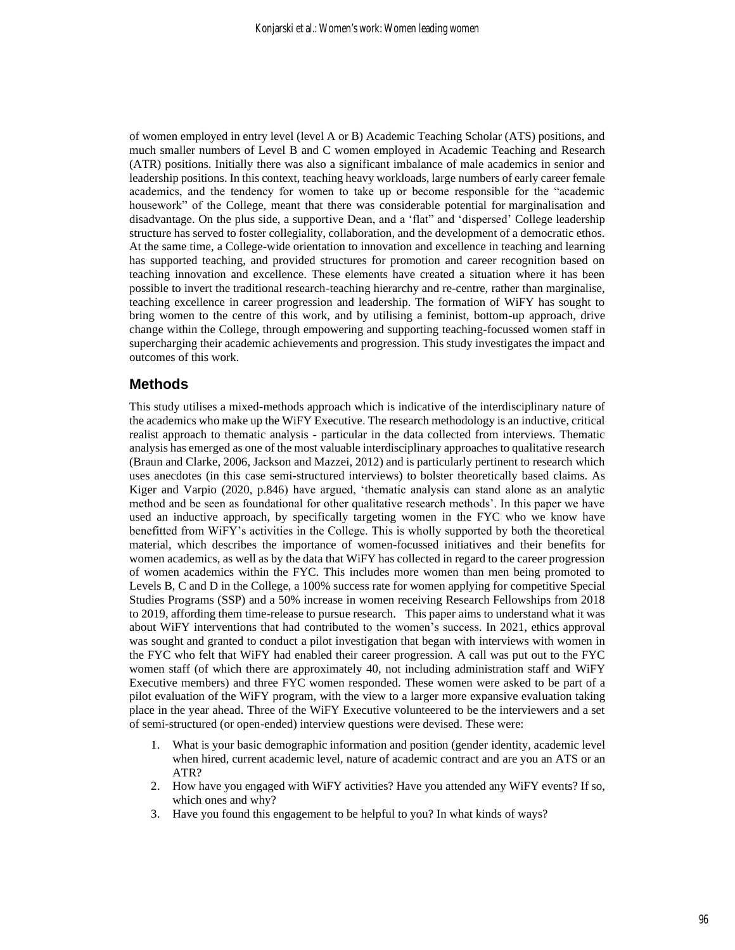of women employed in entry level (level A or B) Academic Teaching Scholar (ATS) positions, and much smaller numbers of Level B and C women employed in Academic Teaching and Research (ATR) positions. Initially there was also a significant imbalance of male academics in senior and leadership positions. In this context, teaching heavy workloads, large numbers of early career female academics, and the tendency for women to take up or become responsible for the "academic housework" of the College, meant that there was considerable potential for marginalisation and disadvantage. On the plus side, a supportive Dean, and a 'flat" and 'dispersed' College leadership structure has served to foster collegiality, collaboration, and the development of a democratic ethos. At the same time, a College-wide orientation to innovation and excellence in teaching and learning has supported teaching, and provided structures for promotion and career recognition based on teaching innovation and excellence. These elements have created a situation where it has been possible to invert the traditional research-teaching hierarchy and re-centre, rather than marginalise, teaching excellence in career progression and leadership. The formation of WiFY has sought to bring women to the centre of this work, and by utilising a feminist, bottom-up approach, drive change within the College, through empowering and supporting teaching-focussed women staff in supercharging their academic achievements and progression. This study investigates the impact and outcomes of this work.

#### **Methods**

This study utilises a mixed-methods approach which is indicative of the interdisciplinary nature of the academics who make up the WiFY Executive. The research methodology is an inductive, critical realist approach to thematic analysis - particular in the data collected from interviews. Thematic analysis has emerged as one of the most valuable interdisciplinary approaches to qualitative research (Braun and Clarke, 2006, Jackson and Mazzei, 2012) and is particularly pertinent to research which uses anecdotes (in this case semi-structured interviews) to bolster theoretically based claims. As Kiger and Varpio (2020, p.846) have argued, 'thematic analysis can stand alone as an analytic method and be seen as foundational for other qualitative research methods'. In this paper we have used an inductive approach, by specifically targeting women in the FYC who we know have benefitted from WiFY's activities in the College. This is wholly supported by both the theoretical material, which describes the importance of women-focussed initiatives and their benefits for women academics, as well as by the data that WiFY has collected in regard to the career progression of women academics within the FYC. This includes more women than men being promoted to Levels B, C and D in the College, a 100% success rate for women applying for competitive Special Studies Programs (SSP) and a 50% increase in women receiving Research Fellowships from 2018 to 2019, affording them time-release to pursue research. This paper aims to understand what it was about WiFY interventions that had contributed to the women's success. In 2021, ethics approval was sought and granted to conduct a pilot investigation that began with interviews with women in the FYC who felt that WiFY had enabled their career progression. A call was put out to the FYC women staff (of which there are approximately 40, not including administration staff and WiFY Executive members) and three FYC women responded. These women were asked to be part of a pilot evaluation of the WiFY program, with the view to a larger more expansive evaluation taking place in the year ahead. Three of the WiFY Executive volunteered to be the interviewers and a set of semi-structured (or open-ended) interview questions were devised. These were:

- 1. What is your basic demographic information and position (gender identity, academic level when hired, current academic level, nature of academic contract and are you an ATS or an ATR?
- 2. How have you engaged with WiFY activities? Have you attended any WiFY events? If so, which ones and why?
- 3. Have you found this engagement to be helpful to you? In what kinds of ways?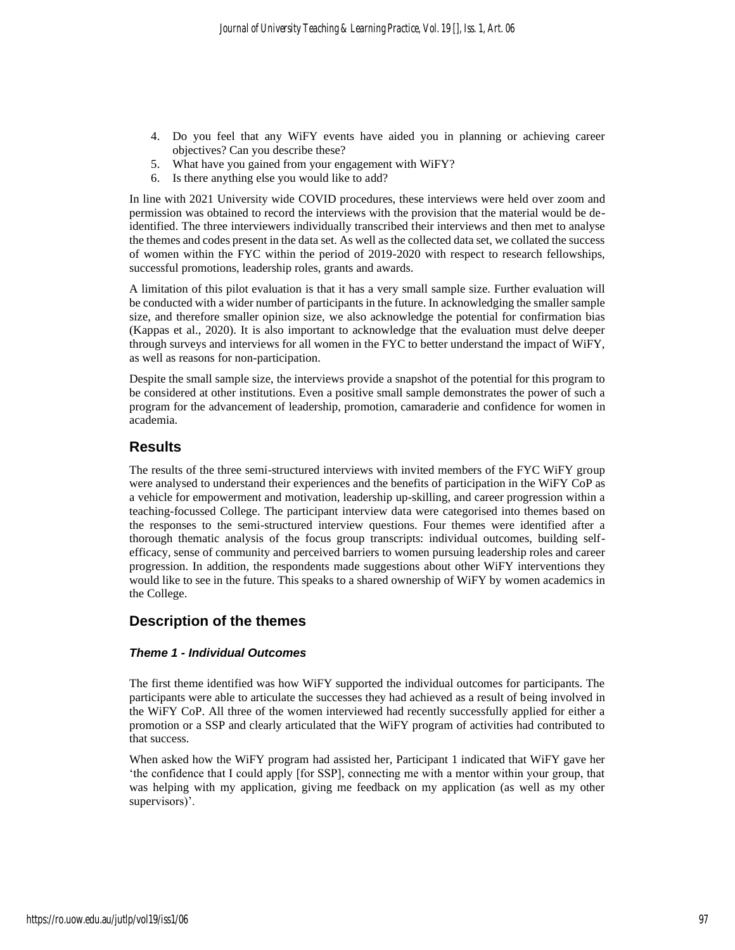- 4. Do you feel that any WiFY events have aided you in planning or achieving career objectives? Can you describe these?
- 5. What have you gained from your engagement with WiFY?
- 6. Is there anything else you would like to add?

In line with 2021 University wide COVID procedures, these interviews were held over zoom and permission was obtained to record the interviews with the provision that the material would be deidentified. The three interviewers individually transcribed their interviews and then met to analyse the themes and codes present in the data set. As well as the collected data set, we collated the success of women within the FYC within the period of 2019-2020 with respect to research fellowships, successful promotions, leadership roles, grants and awards.

A limitation of this pilot evaluation is that it has a very small sample size. Further evaluation will be conducted with a wider number of participants in the future. In acknowledging the smaller sample size, and therefore smaller opinion size, we also acknowledge the potential for confirmation bias (Kappas et al., 2020). It is also important to acknowledge that the evaluation must delve deeper through surveys and interviews for all women in the FYC to better understand the impact of WiFY, as well as reasons for non-participation.

Despite the small sample size, the interviews provide a snapshot of the potential for this program to be considered at other institutions. Even a positive small sample demonstrates the power of such a program for the advancement of leadership, promotion, camaraderie and confidence for women in academia.

## **Results**

The results of the three semi-structured interviews with invited members of the FYC WiFY group were analysed to understand their experiences and the benefits of participation in the WiFY CoP as a vehicle for empowerment and motivation, leadership up-skilling, and career progression within a teaching-focussed College. The participant interview data were categorised into themes based on the responses to the semi-structured interview questions. Four themes were identified after a thorough thematic analysis of the focus group transcripts: individual outcomes, building selfefficacy, sense of community and perceived barriers to women pursuing leadership roles and career progression. In addition, the respondents made suggestions about other WiFY interventions they would like to see in the future. This speaks to a shared ownership of WiFY by women academics in the College.

#### **Description of the themes**

#### *Theme 1 - Individual Outcomes*

The first theme identified was how WiFY supported the individual outcomes for participants. The participants were able to articulate the successes they had achieved as a result of being involved in the WiFY CoP. All three of the women interviewed had recently successfully applied for either a promotion or a SSP and clearly articulated that the WiFY program of activities had contributed to that success.

When asked how the WiFY program had assisted her, Participant 1 indicated that WiFY gave her 'the confidence that I could apply [for SSP], connecting me with a mentor within your group, that was helping with my application, giving me feedback on my application (as well as my other supervisors)'.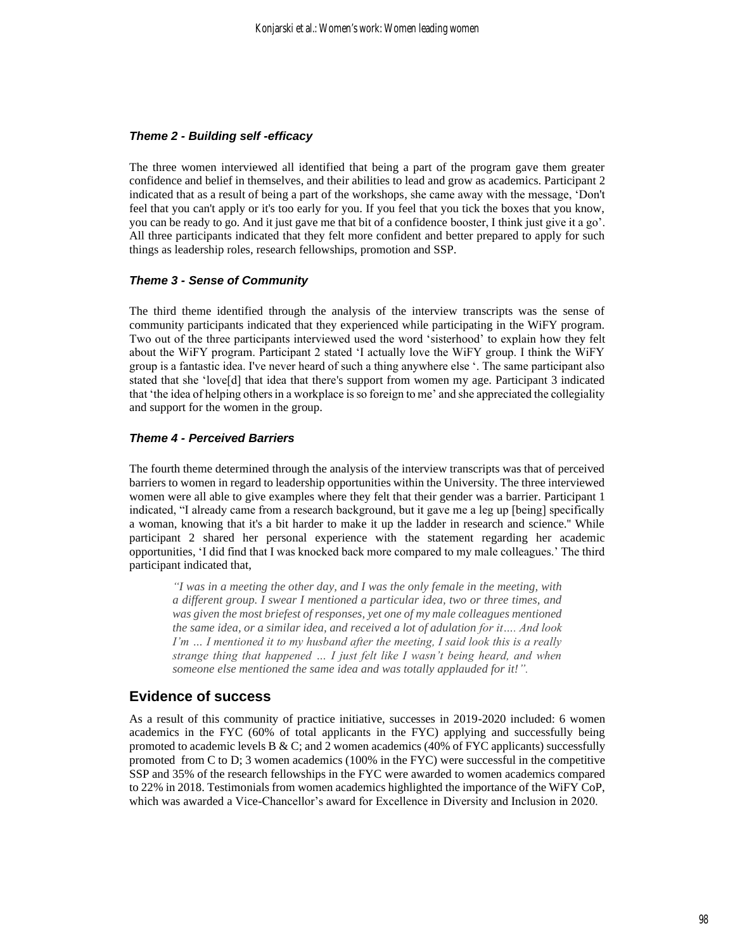#### *Theme 2 - Building self -efficacy*

The three women interviewed all identified that being a part of the program gave them greater confidence and belief in themselves, and their abilities to lead and grow as academics. Participant 2 indicated that as a result of being a part of the workshops, she came away with the message, 'Don't feel that you can't apply or it's too early for you. If you feel that you tick the boxes that you know, you can be ready to go. And it just gave me that bit of a confidence booster, I think just give it a go'. All three participants indicated that they felt more confident and better prepared to apply for such things as leadership roles, research fellowships, promotion and SSP.

#### *Theme 3 - Sense of Community*

The third theme identified through the analysis of the interview transcripts was the sense of community participants indicated that they experienced while participating in the WiFY program. Two out of the three participants interviewed used the word 'sisterhood' to explain how they felt about the WiFY program. Participant 2 stated 'I actually love the WiFY group. I think the WiFY group is a fantastic idea. I've never heard of such a thing anywhere else '. The same participant also stated that she 'love[d] that idea that there's support from women my age. Participant 3 indicated that 'the idea of helping others in a workplace is so foreign to me' and she appreciated the collegiality and support for the women in the group.

#### *Theme 4 - Perceived Barriers*

The fourth theme determined through the analysis of the interview transcripts was that of perceived barriers to women in regard to leadership opportunities within the University. The three interviewed women were all able to give examples where they felt that their gender was a barrier. Participant 1 indicated, "I already came from a research background, but it gave me a leg up [being] specifically a woman, knowing that it's a bit harder to make it up the ladder in research and science.'' While participant 2 shared her personal experience with the statement regarding her academic opportunities, 'I did find that I was knocked back more compared to my male colleagues.' The third participant indicated that,

*"I was in a meeting the other day, and I was the only female in the meeting, with a different group. I swear I mentioned a particular idea, two or three times, and was given the most briefest of responses, yet one of my male colleagues mentioned the same idea, or a similar idea, and received a lot of adulation for it…. And look I'm … I mentioned it to my husband after the meeting, I said look this is a really strange thing that happened … I just felt like I wasn't being heard, and when someone else mentioned the same idea and was totally applauded for it!".*

#### **Evidence of success**

As a result of this community of practice initiative, successes in 2019-2020 included: 6 women academics in the FYC (60% of total applicants in the FYC) applying and successfully being promoted to academic levels B & C; and 2 women academics (40% of FYC applicants) successfully promoted from C to D; 3 women academics (100% in the FYC) were successful in the competitive SSP and 35% of the research fellowships in the FYC were awarded to women academics compared to 22% in 2018. Testimonials from women academics highlighted the importance of the WiFY CoP, which was awarded a Vice-Chancellor's award for Excellence in Diversity and Inclusion in 2020.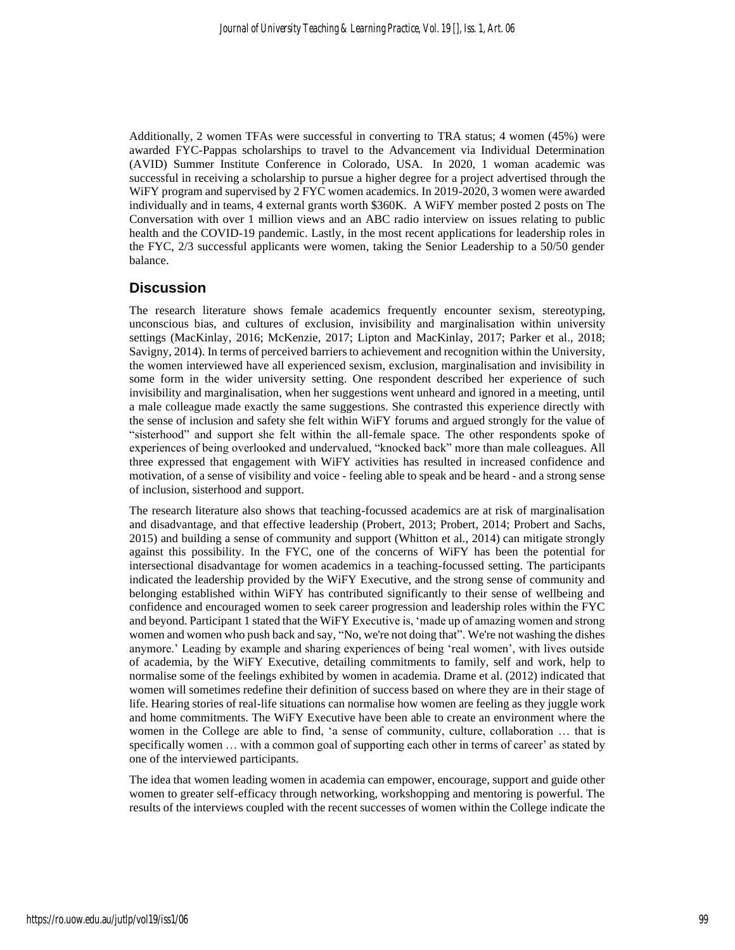Additionally, 2 women TFAs were successful in converting to TRA status; 4 women (45%) were awarded FYC-Pappas scholarships to travel to the Advancement via Individual Determination (AVID) Summer Institute Conference in Colorado, USA. In 2020, 1 woman academic was successful in receiving a scholarship to pursue a higher degree for a project advertised through the WiFY program and supervised by 2 FYC women academics. In 2019-2020, 3 women were awarded individually and in teams, 4 external grants worth \$360K. A WiFY member posted 2 posts on The Conversation with over 1 million views and an ABC radio interview on issues relating to public health and the COVID-19 pandemic. Lastly, in the most recent applications for leadership roles in the FYC, 2/3 successful applicants were women, taking the Senior Leadership to a 50/50 gender balance.

## **Discussion**

The research literature shows female academics frequently encounter sexism, stereotyping, unconscious bias, and cultures of exclusion, invisibility and marginalisation within university settings (MacKinlay, 2016; McKenzie, 2017; Lipton and MacKinlay, 2017; Parker et al., 2018; Savigny, 2014). In terms of perceived barriers to achievement and recognition within the University, the women interviewed have all experienced sexism, exclusion, marginalisation and invisibility in some form in the wider university setting. One respondent described her experience of such invisibility and marginalisation, when her suggestions went unheard and ignored in a meeting, until a male colleague made exactly the same suggestions. She contrasted this experience directly with the sense of inclusion and safety she felt within WiFY forums and argued strongly for the value of "sisterhood" and support she felt within the all-female space. The other respondents spoke of experiences of being overlooked and undervalued, "knocked back" more than male colleagues. All three expressed that engagement with WiFY activities has resulted in increased confidence and motivation, of a sense of visibility and voice - feeling able to speak and be heard - and a strong sense of inclusion, sisterhood and support.

The research literature also shows that teaching-focussed academics are at risk of marginalisation and disadvantage, and that effective leadership (Probert, 2013; Probert, 2014; Probert and Sachs, 2015) and building a sense of community and support (Whitton et al., 2014) can mitigate strongly against this possibility. In the FYC, one of the concerns of WiFY has been the potential for intersectional disadvantage for women academics in a teaching-focussed setting. The participants indicated the leadership provided by the WiFY Executive, and the strong sense of community and belonging established within WiFY has contributed significantly to their sense of wellbeing and confidence and encouraged women to seek career progression and leadership roles within the FYC and beyond. Participant 1 stated that the WiFY Executive is, 'made up of amazing women and strong women and women who push back and say, "No, we're not doing that". We're not washing the dishes anymore.' Leading by example and sharing experiences of being 'real women', with lives outside of academia, by the WiFY Executive, detailing commitments to family, self and work, help to normalise some of the feelings exhibited by women in academia. Drame et al. (2012) indicated that women will sometimes redefine their definition of success based on where they are in their stage of life. Hearing stories of real-life situations can normalise how women are feeling as they juggle work and home commitments. The WiFY Executive have been able to create an environment where the women in the College are able to find, 'a sense of community, culture, collaboration … that is specifically women … with a common goal of supporting each other in terms of career' as stated by one of the interviewed participants.

The idea that women leading women in academia can empower, encourage, support and guide other women to greater self-efficacy through networking, workshopping and mentoring is powerful. The results of the interviews coupled with the recent successes of women within the College indicate the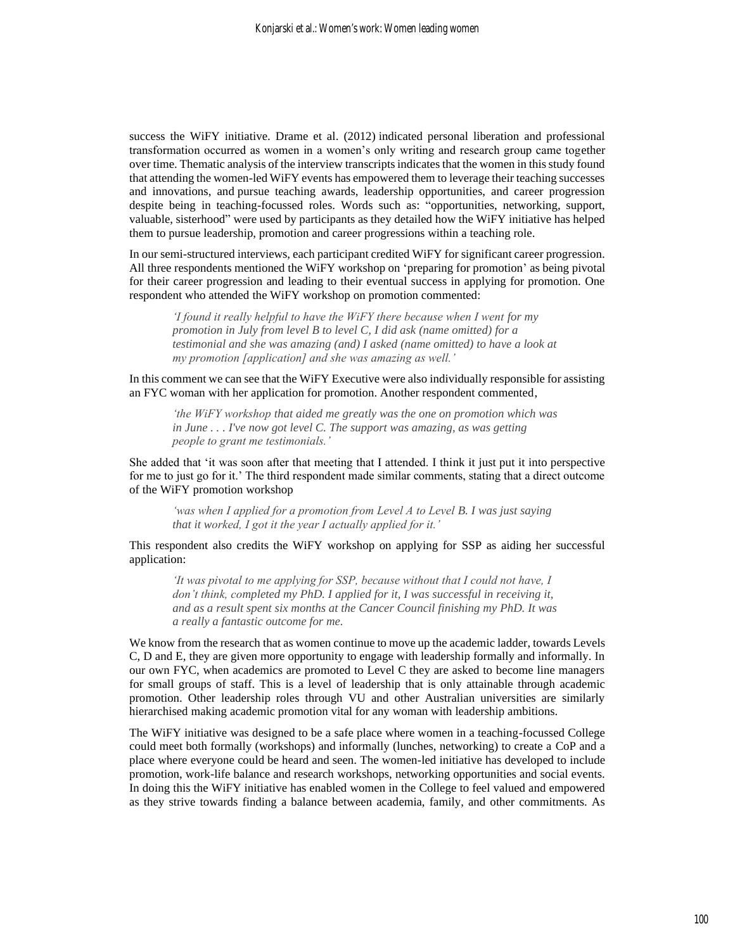success the WiFY initiative. Drame et al. (2012) indicated personal liberation and professional transformation occurred as women in a women's only writing and research group came together over time. Thematic analysis of the interview transcripts indicates that the women in this study found that attending the women-led WiFY events has empowered them to leverage their teaching successes and innovations, and pursue teaching awards, leadership opportunities, and career progression despite being in teaching-focussed roles. Words such as: "opportunities, networking, support, valuable, sisterhood" were used by participants as they detailed how the WiFY initiative has helped them to pursue leadership, promotion and career progressions within a teaching role.

In our semi-structured interviews, each participant credited WiFY for significant career progression. All three respondents mentioned the WiFY workshop on 'preparing for promotion' as being pivotal for their career progression and leading to their eventual success in applying for promotion. One respondent who attended the WiFY workshop on promotion commented:

*'I found it really helpful to have the WiFY there because when I went for my promotion in July from level B to level C, I did ask (name omitted) for a testimonial and she was amazing (and) I asked (name omitted) to have a look at my promotion [application] and she was amazing as well.'* 

In this comment we can see that the WiFY Executive were also individually responsible for assisting an FYC woman with her application for promotion. Another respondent commented,

*'the WiFY workshop that aided me greatly was the one on promotion which was in June . . . I've now got level C. The support was amazing, as was getting people to grant me testimonials.'* 

She added that 'it was soon after that meeting that I attended. I think it just put it into perspective for me to just go for it.' The third respondent made similar comments, stating that a direct outcome of the WiFY promotion workshop

*'was when I applied for a promotion from Level A to Level B. I was just saying that it worked, I got it the year I actually applied for it.'* 

This respondent also credits the WiFY workshop on applying for SSP as aiding her successful application:

*'It was pivotal to me applying for SSP, because without that I could not have, I don't think, completed my PhD. I applied for it, I was successful in receiving it, and as a result spent six months at the Cancer Council finishing my PhD. It was a really a fantastic outcome for me.*

We know from the research that as women continue to move up the academic ladder, towards Levels C, D and E, they are given more opportunity to engage with leadership formally and informally. In our own FYC, when academics are promoted to Level C they are asked to become line managers for small groups of staff. This is a level of leadership that is only attainable through academic promotion. Other leadership roles through VU and other Australian universities are similarly hierarchised making academic promotion vital for any woman with leadership ambitions.

The WiFY initiative was designed to be a safe place where women in a teaching-focussed College could meet both formally (workshops) and informally (lunches, networking) to create a CoP and a place where everyone could be heard and seen. The women-led initiative has developed to include promotion, work-life balance and research workshops, networking opportunities and social events. In doing this the WiFY initiative has enabled women in the College to feel valued and empowered as they strive towards finding a balance between academia, family, and other commitments. As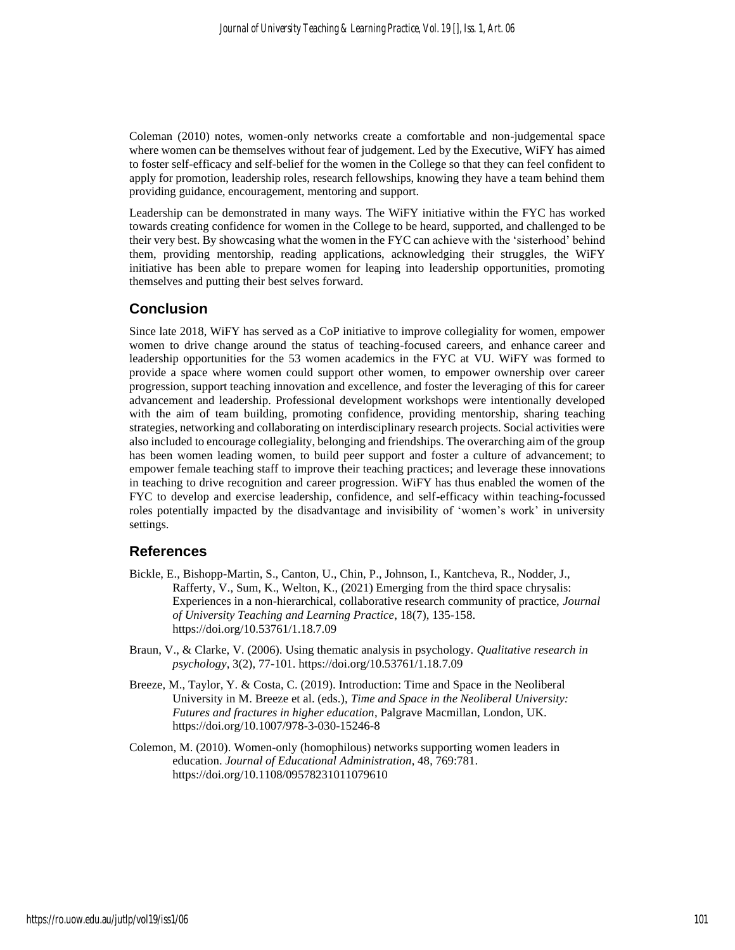Coleman (2010) notes, women-only networks create a comfortable and non-judgemental space where women can be themselves without fear of judgement. Led by the Executive, WiFY has aimed to foster self-efficacy and self-belief for the women in the College so that they can feel confident to apply for promotion, leadership roles, research fellowships, knowing they have a team behind them providing guidance, encouragement, mentoring and support.

Leadership can be demonstrated in many ways. The WiFY initiative within the FYC has worked towards creating confidence for women in the College to be heard, supported, and challenged to be their very best. By showcasing what the women in the FYC can achieve with the 'sisterhood' behind them, providing mentorship, reading applications, acknowledging their struggles, the WiFY initiative has been able to prepare women for leaping into leadership opportunities, promoting themselves and putting their best selves forward.

## **Conclusion**

Since late 2018, WiFY has served as a CoP initiative to improve collegiality for women, empower women to drive change around the status of teaching-focused careers, and enhance career and leadership opportunities for the 53 women academics in the FYC at VU. WiFY was formed to provide a space where women could support other women, to empower ownership over career progression, support teaching innovation and excellence, and foster the leveraging of this for career advancement and leadership. Professional development workshops were intentionally developed with the aim of team building, promoting confidence, providing mentorship, sharing teaching strategies, networking and collaborating on interdisciplinary research projects. Social activities were also included to encourage collegiality, belonging and friendships. The overarching aim of the group has been women leading women, to build peer support and foster a culture of advancement; to empower female teaching staff to improve their teaching practices; and leverage these innovations in teaching to drive recognition and career progression. WiFY has thus enabled the women of the FYC to develop and exercise leadership, confidence, and self-efficacy within teaching-focussed roles potentially impacted by the disadvantage and invisibility of 'women's work' in university settings.

#### **References**

- Bickle, E., Bishopp-Martin, S., Canton, U., Chin, P., Johnson, I., Kantcheva, R., Nodder, J., Rafferty, V., Sum, K., Welton, K., (2021) Emerging from the third space chrysalis: Experiences in a non-hierarchical, collaborative research community of practice, *Journal of University Teaching and Learning Practice*, 18(7), 135-158. https://doi.org/10.53761/1.18.7.09
- Braun, V., & Clarke, V. (2006). Using thematic analysis in psychology. *Qualitative research in psychology*, 3(2), 77-101. https://doi.org/10.53761/1.18.7.09
- Breeze, M., Taylor, Y. & Costa, C. (2019). Introduction: Time and Space in the Neoliberal University in M. Breeze et al. (eds.), *Time and Space in the Neoliberal University: Futures and fractures in higher education*, Palgrave Macmillan, London, UK. https://doi.org/10.1007/978-3-030-15246-8
- Colemon, M. (2010). Women-only (homophilous) networks supporting women leaders in education. *Journal of Educational Administration*, 48, 769:781. https://doi.org/10.1108/09578231011079610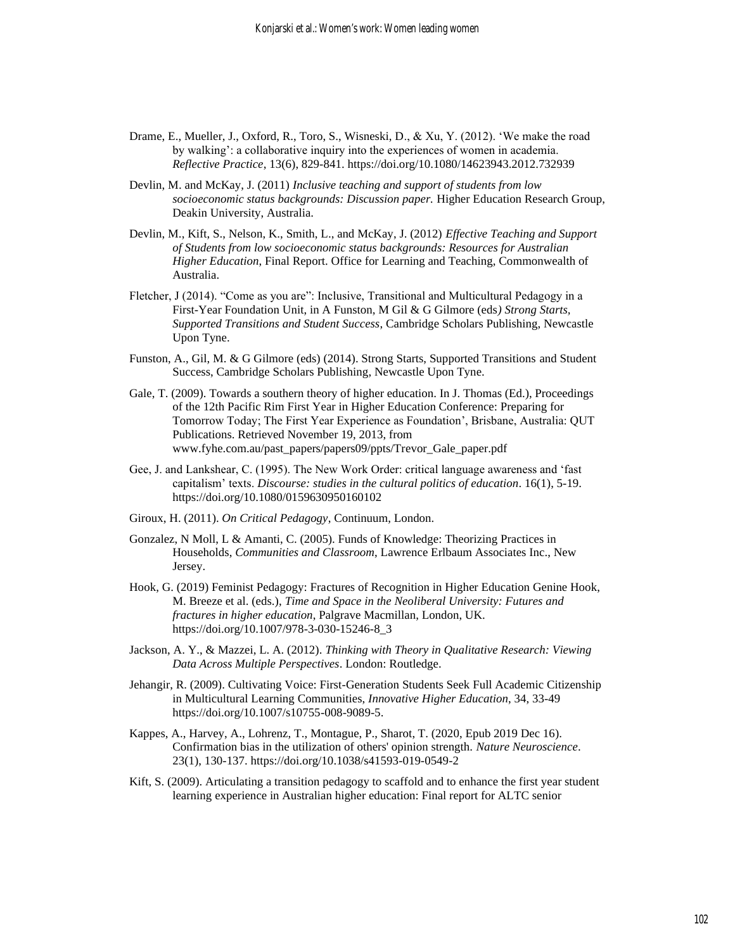- Drame, E., Mueller, J., Oxford, R., Toro, S., Wisneski, D., & Xu, Y. (2012). 'We make the road by walking': a collaborative inquiry into the experiences of women in academia. *Reflective Practice*, 13(6), 829-841. https://doi.org/10.1080/14623943.2012.732939
- Devlin, M. and McKay, J. (2011) *Inclusive teaching and support of students from low socioeconomic status backgrounds: Discussion paper.* Higher Education Research Group, Deakin University, Australia.
- Devlin, M., Kift, S., Nelson, K., Smith, L., and McKay, J. (2012) *Effective Teaching and Support of Students from low socioeconomic status backgrounds: Resources for Australian Higher Education*, Final Report. Office for Learning and Teaching, Commonwealth of Australia.
- Fletcher, J (2014). "Come as you are": Inclusive, Transitional and Multicultural Pedagogy in a First-Year Foundation Unit, in A Funston, M Gil & G Gilmore (eds*) Strong Starts, Supported Transitions and Student Success*, Cambridge Scholars Publishing, Newcastle Upon Tyne.
- Funston, A., Gil, M. & G Gilmore (eds) (2014). Strong Starts, Supported Transitions and Student Success, Cambridge Scholars Publishing, Newcastle Upon Tyne.
- Gale, T. (2009). Towards a southern theory of higher education. In J. Thomas (Ed.), Proceedings of the 12th Pacific Rim First Year in Higher Education Conference: Preparing for Tomorrow Today; The First Year Experience as Foundation', Brisbane, Australia: QUT Publications. Retrieved November 19, 2013, from [www.fyhe.com.au/past\\_papers/papers09/ppts/Trevor\\_Gale\\_paper.pdf](http://www.fyhe.com.au/past_papers/papers09/ppts/Trevor_Gale_paper.pdf)
- Gee, J. and Lankshear, C. (1995). The New Work Order: critical language awareness and 'fast capitalism' texts. *Discourse: studies in the cultural politics of education*. 16(1), 5-19. https://doi.org/10.1080/0159630950160102
- Giroux, H. (2011). *On Critical Pedagogy*, Continuum, London.
- Gonzalez, N Moll, L & Amanti, C. (2005). Funds of Knowledge: Theorizing Practices in Households, *Communities and Classroom*, Lawrence Erlbaum Associates Inc., New Jersey.
- Hook, G. (2019) Feminist Pedagogy: Fractures of Recognition in Higher Education Genine Hook, M. Breeze et al. (eds.), *Time and Space in the Neoliberal University: Futures and fractures in higher education*, Palgrave Macmillan, London, UK. https://doi.org/10.1007/978-3-030-15246-8\_3
- Jackson, A. Y., & Mazzei, L. A. (2012). *Thinking with Theory in Qualitative Research: Viewing Data Across Multiple Perspectives*. London: Routledge.
- Jehangir, R. (2009). Cultivating Voice: First-Generation Students Seek Full Academic Citizenship in Multicultural Learning Communities, *Innovative Higher Education*, 34, 33-49 https://doi.org/10.1007/s10755-008-9089-5.
- Kappes, A., Harvey, A., Lohrenz, T., Montague, P., Sharot, T. (2020, Epub 2019 Dec 16). Confirmation bias in the utilization of others' opinion strength. *Nature Neuroscience*. 23(1), 130-137. https://doi.org/10.1038/s41593-019-0549-2
- Kift, S. (2009). Articulating a transition pedagogy to scaffold and to enhance the first year student learning experience in Australian higher education: Final report for ALTC senior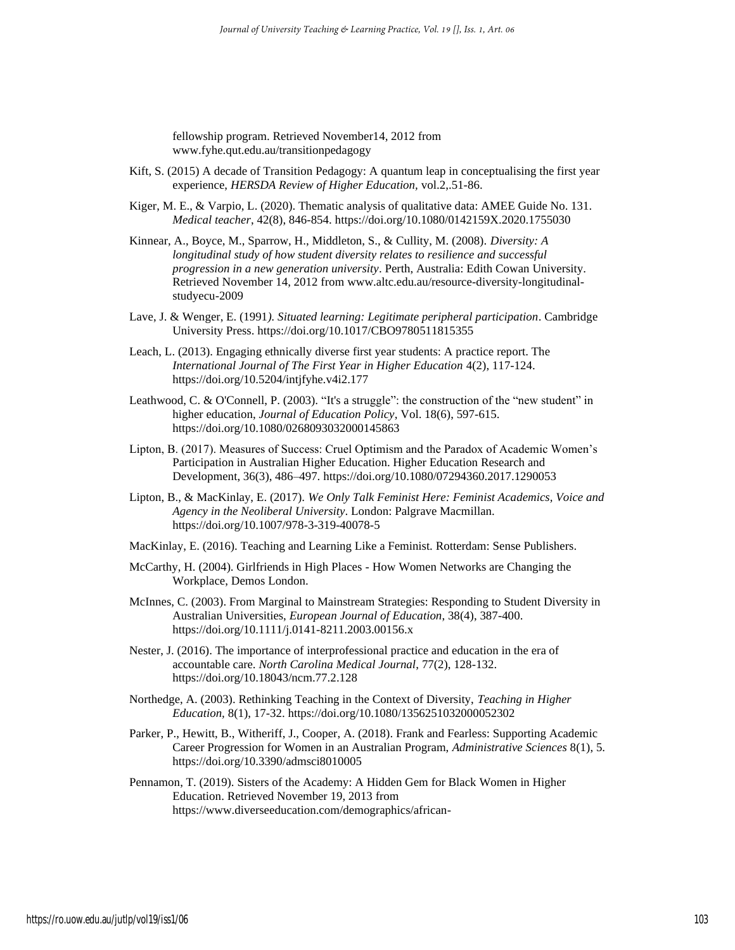fellowship program. Retrieved November14, 2012 from [www.fyhe.qut.edu.au/transitionpedagogy](http://www.fyhe.qut.edu.au/transitionpedagogy)

- Kift, S. (2015) A decade of Transition Pedagogy: A quantum leap in conceptualising the first year experience, *HERSDA Review of Higher Education,* vol.2,.51-86.
- Kiger, M. E., & Varpio, L. (2020). Thematic analysis of qualitative data: AMEE Guide No. 131. *Medical teacher*, 42(8), 846-854. https://doi.org/10.1080/0142159X.2020.1755030
- Kinnear, A., Boyce, M., Sparrow, H., Middleton, S., & Cullity, M. (2008). *Diversity: A longitudinal study of how student diversity relates to resilience and successful progression in a new generation university*. Perth, Australia: Edith Cowan University. Retrieved November 14, 2012 from [www.altc.edu.au/resource-diversity-longitudinal](http://www.altc.edu.au/resource-diversity-longitudinal-studyecu-2009)[studyecu-2009](http://www.altc.edu.au/resource-diversity-longitudinal-studyecu-2009)
- Lave, J. & Wenger, E. (1991*). Situated learning: Legitimate peripheral participation*. Cambridge University Press. https://doi.org/10.1017/CBO9780511815355
- Leach, L. (2013). Engaging ethnically diverse first year students: A practice report. The *International Journal of The First Year in Higher Education* 4(2), 117-124. https://doi.org/10.5204/intjfyhe.v4i2.177
- Leathwood, C. & O'Connell, P. (2003). "It's a struggle": the construction of the "new student" in higher education, *Journal of Education Policy*, Vol. 18(6), 597-615. https://doi.org/10.1080/0268093032000145863
- Lipton, B. (2017). Measures of Success: Cruel Optimism and the Paradox of Academic Women's Participation in Australian Higher Education. Higher Education Research and Development, 36(3), 486–497. https://doi.org/10.1080/07294360.2017.1290053
- Lipton, B., & MacKinlay, E. (2017). *We Only Talk Feminist Here: Feminist Academics, Voice and Agency in the Neoliberal University*. London: Palgrave Macmillan. https://doi.org/10.1007/978-3-319-40078-5
- MacKinlay, E. (2016). Teaching and Learning Like a Feminist. Rotterdam: Sense Publishers.
- McCarthy, H. (2004). Girlfriends in High Places How Women Networks are Changing the Workplace, Demos London.
- McInnes, C. (2003). From Marginal to Mainstream Strategies: Responding to Student Diversity in Australian Universities, *European Journal of Education*, 38(4), 387-400. https://doi.org/10.1111/j.0141-8211.2003.00156.x
- Nester, J. (2016). The importance of interprofessional practice and education in the era of accountable care. *North Carolina Medical Journal*, 77(2), 128-132. https://doi.org/10.18043/ncm.77.2.128
- Northedge, A. (2003). Rethinking Teaching in the Context of Diversity, *Teaching in Higher Education,* 8(1), 17-32. https://doi.org/10.1080/1356251032000052302
- Parker, P., Hewitt, B., Witheriff, J., Cooper, A. (2018). Frank and Fearless: Supporting Academic Career Progression for Women in an Australian Program, *Administrative Sciences* 8(1), 5. https://doi.org/10.3390/admsci8010005
- Pennamon, T. (2019). Sisters of the Academy: A Hidden Gem for Black Women in Higher Education. Retrieved November 19, 2013 from https://www.diverseeducation.com/demographics/african-